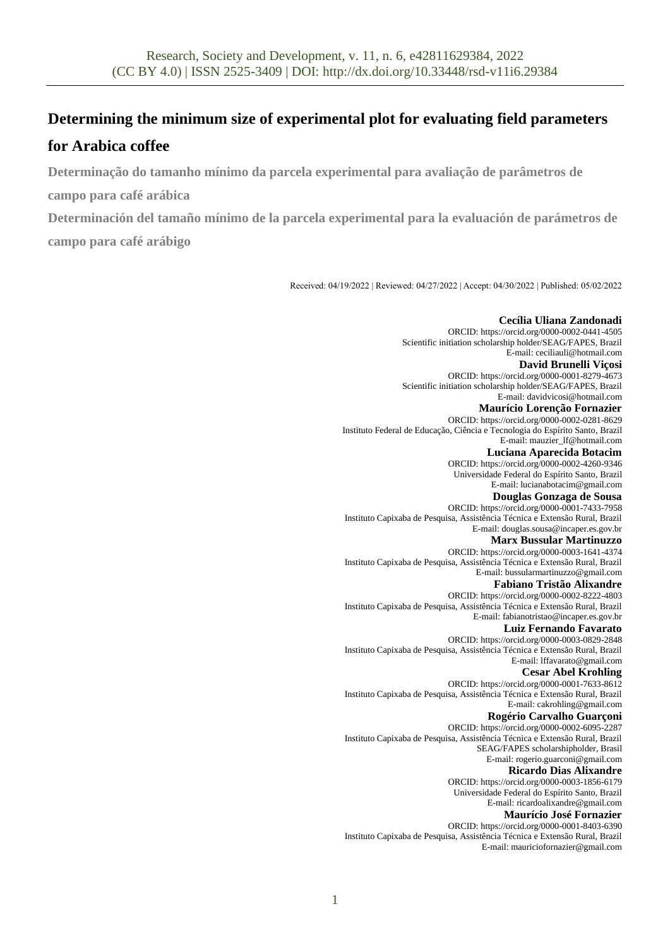# **Determining the minimum size of experimental plot for evaluating field parameters**

# **for Arabica coffee**

**Determinação do tamanho mínimo da parcela experimental para avaliação de parâmetros de** 

**campo para café arábica**

**Determinación del tamaño mínimo de la parcela experimental para la evaluación de parámetros de campo para café arábigo**

Received: 04/19/2022 | Reviewed: 04/27/2022 | Accept: 04/30/2022 | Published: 05/02/2022

**Cecília Uliana Zandonadi** ORCID[: https://orcid.org/0000-0002-0441-4505](https://orcid.org/0000-0002-0441-4505) Scientific initiation scholarship holder/SEAG/FAPES, Brazil E-mail: ceciliauli@hotmail.com **David Brunelli Viçosi** ORCID[: https://orcid.org/0000-0001-8279-4673](https://orcid.org/0000-0001-8279-4673) Scientific initiation scholarship holder/SEAG/FAPES, Brazil E-mail: davidvicosi@hotmail.com **Maurício Lorenção Fornazier** ORCID[: https://orcid.org/0000-0002-0281-8629](https://orcid.org/0000-0002-0281-8629) Instituto Federal de Educação, Ciência e Tecnologia do Espírito Santo, Brazil E-mail: mauzier\_lf@hotmail.com **Luciana Aparecida Botacim** ORCID[: https://orcid.org/0000-0002-4260-9346](https://orcid.org/0000-0002-4260-9346) Universidade Federal do Espírito Santo, Brazil E-mail: lucianabotacim@gmail.com **Douglas Gonzaga de Sousa** ORCID[: https://orcid.org/0000-0001-7433-7958](https://orcid.org/0000-0001-7433-7958) Instituto Capixaba de Pesquisa, Assistência Técnica e Extensão Rural, Brazil E-mail: douglas.sousa@incaper.es.gov.br **Marx Bussular Martinuzzo** ORCID[: https://orcid.org/0000-0003-1641-4374](https://orcid.org/0000-0003-1641-4374) Instituto Capixaba de Pesquisa, Assistência Técnica e Extensão Rural, Brazil E-mail: bussularmartinuzzo@gmail.com **Fabiano Tristão Alixandre** ORCID[: https://orcid.org/0000-0002-8222-4803](https://orcid.org/0000-0002-8222-4803) Instituto Capixaba de Pesquisa, Assistência Técnica e Extensão Rural, Brazil E-mail: fabianotristao@incaper.es.gov.br **Luiz Fernando Favarato** ORCID[: https://orcid.org/0000-0003-0829-2848](https://orcid.org/0000-0003-0829-2848) Instituto Capixaba de Pesquisa, Assistência Técnica e Extensão Rural, Brazil E-mail: lffavarato@gmail.com **Cesar Abel Krohling** ORCID[: https://orcid.org/0000-0001-7633-8612](https://orcid.org/0000-0001-7633-8612) Instituto Capixaba de Pesquisa, Assistência Técnica e Extensão Rural, Brazil E-mail: cakrohling@gmail.com **Rogério Carvalho Guarçoni** ORCID[: https://orcid.org/0000-0002-6095-2287](https://orcid.org/0000-0002-6095-2287) Instituto Capixaba de Pesquisa, Assistência Técnica e Extensão Rural, Brazil SEAG/FAPES scholarshipholder, Brasil E-mail: rogerio.guarconi@gmail.com **Ricardo Dias Alixandre** ORCID[: https://orcid.org/0000-0003-1856-6179](https://orcid.org/0000-0003-1856-6179) Universidade Federal do Espírito Santo, Brazil E-mail: ricardoalixandre@gmail.com **Maurício José Fornazier** ORCID[: https://orcid.org/0000-0001-8403-6390](https://orcid.org/0000-0001-8403-6390) Instituto Capixaba de Pesquisa, Assistência Técnica e Extensão Rural, Brazil E-mail[: mauriciofornazier@gmail.com](mailto:mauriciofornazier@gmail.com)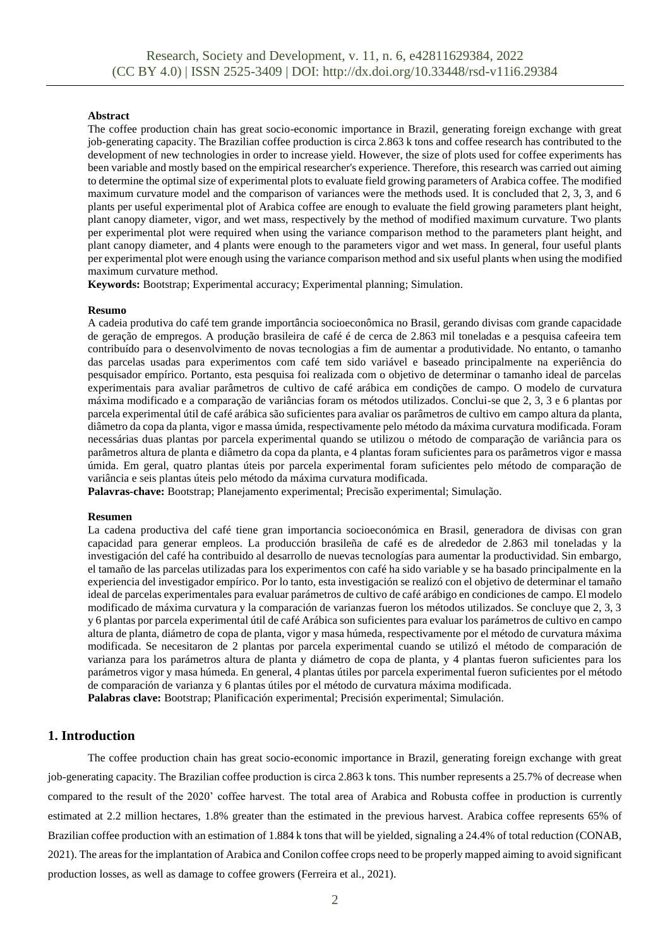#### **Abstract**

The coffee production chain has great socio-economic importance in Brazil, generating foreign exchange with great job-generating capacity. The Brazilian coffee production is circa 2.863 k tons and coffee research has contributed to the development of new technologies in order to increase yield. However, the size of plots used for coffee experiments has been variable and mostly based on the empirical researcher's experience. Therefore, this research was carried out aiming to determine the optimal size of experimental plots to evaluate field growing parameters of Arabica coffee. The modified maximum curvature model and the comparison of variances were the methods used. It is concluded that 2, 3, 3, and 6 plants per useful experimental plot of Arabica coffee are enough to evaluate the field growing parameters plant height, plant canopy diameter, vigor, and wet mass, respectively by the method of modified maximum curvature. Two plants per experimental plot were required when using the variance comparison method to the parameters plant height, and plant canopy diameter, and 4 plants were enough to the parameters vigor and wet mass. In general, four useful plants per experimental plot were enough using the variance comparison method and six useful plants when using the modified maximum curvature method.

**Keywords:** Bootstrap; Experimental accuracy; Experimental planning; Simulation.

#### **Resumo**

A cadeia produtiva do café tem grande importância socioeconômica no Brasil, gerando divisas com grande capacidade de geração de empregos. A produção brasileira de café é de cerca de 2.863 mil toneladas e a pesquisa cafeeira tem contribuído para o desenvolvimento de novas tecnologias a fim de aumentar a produtividade. No entanto, o tamanho das parcelas usadas para experimentos com café tem sido variável e baseado principalmente na experiência do pesquisador empírico. Portanto, esta pesquisa foi realizada com o objetivo de determinar o tamanho ideal de parcelas experimentais para avaliar parâmetros de cultivo de café arábica em condições de campo. O modelo de curvatura máxima modificado e a comparação de variâncias foram os métodos utilizados. Conclui-se que 2, 3, 3 e 6 plantas por parcela experimental útil de café arábica são suficientes para avaliar os parâmetros de cultivo em campo altura da planta, diâmetro da copa da planta, vigor e massa úmida, respectivamente pelo método da máxima curvatura modificada. Foram necessárias duas plantas por parcela experimental quando se utilizou o método de comparação de variância para os parâmetros altura de planta e diâmetro da copa da planta, e 4 plantas foram suficientes para os parâmetros vigor e massa úmida. Em geral, quatro plantas úteis por parcela experimental foram suficientes pelo método de comparação de variância e seis plantas úteis pelo método da máxima curvatura modificada.

**Palavras-chave:** Bootstrap; Planejamento experimental; Precisão experimental; Simulação.

#### **Resumen**

La cadena productiva del café tiene gran importancia socioeconómica en Brasil, generadora de divisas con gran capacidad para generar empleos. La producción brasileña de café es de alrededor de 2.863 mil toneladas y la investigación del café ha contribuido al desarrollo de nuevas tecnologías para aumentar la productividad. Sin embargo, el tamaño de las parcelas utilizadas para los experimentos con café ha sido variable y se ha basado principalmente en la experiencia del investigador empírico. Por lo tanto, esta investigación se realizó con el objetivo de determinar el tamaño ideal de parcelas experimentales para evaluar parámetros de cultivo de café arábigo en condiciones de campo. El modelo modificado de máxima curvatura y la comparación de varianzas fueron los métodos utilizados. Se concluye que 2, 3, 3 y 6 plantas por parcela experimental útil de café Arábica son suficientes para evaluar los parámetros de cultivo en campo altura de planta, diámetro de copa de planta, vigor y masa húmeda, respectivamente por el método de curvatura máxima modificada. Se necesitaron de 2 plantas por parcela experimental cuando se utilizó el método de comparación de varianza para los parámetros altura de planta y diámetro de copa de planta, y 4 plantas fueron suficientes para los parámetros vigor y masa húmeda. En general, 4 plantas útiles por parcela experimental fueron suficientes por el método de comparación de varianza y 6 plantas útiles por el método de curvatura máxima modificada. **Palabras clave:** Bootstrap; Planificación experimental; Precisión experimental; Simulación.

## **1. Introduction**

The coffee production chain has great socio-economic importance in Brazil, generating foreign exchange with great job-generating capacity. The Brazilian coffee production is circa 2.863 k tons. This number represents a 25.7% of decrease when compared to the result of the 2020' coffee harvest. The total area of Arabica and Robusta coffee in production is currently estimated at 2.2 million hectares, 1.8% greater than the estimated in the previous harvest. Arabica coffee represents 65% of Brazilian coffee production with an estimation of 1.884 k tons that will be yielded, signaling a 24.4% of total reduction (CONAB, 2021). The areas for the implantation of Arabica and Conilon coffee crops need to be properly mapped aiming to avoid significant production losses, as well as damage to coffee growers (Ferreira et al., 2021).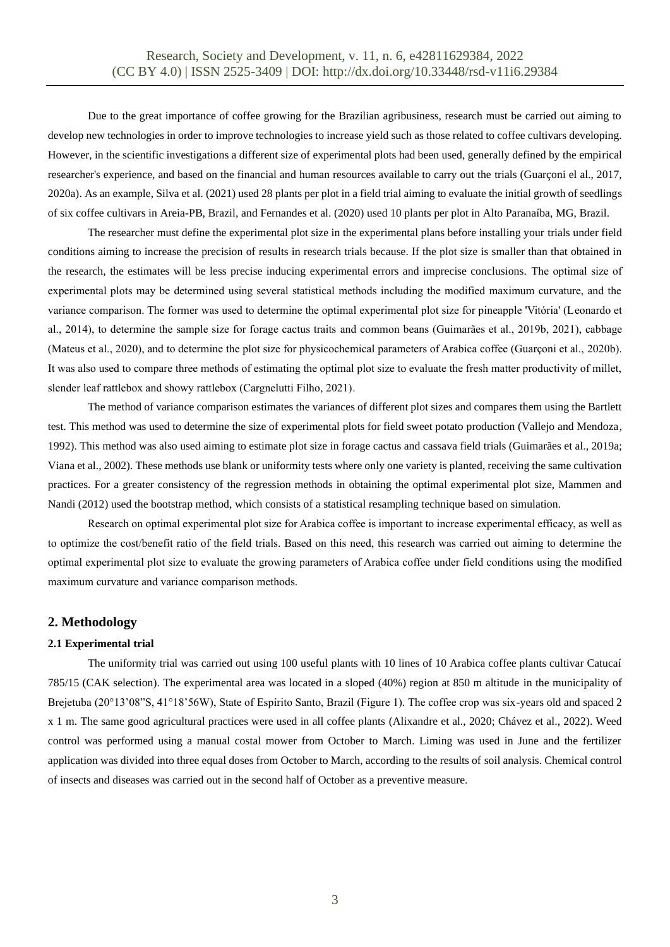Due to the great importance of coffee growing for the Brazilian agribusiness, research must be carried out aiming to develop new technologies in order to improve technologies to increase yield such as those related to coffee cultivars developing. However, in the scientific investigations a different size of experimental plots had been used, generally defined by the empirical researcher's experience, and based on the financial and human resources available to carry out the trials (Guarçoni el al., 2017, 2020a). As an example, Silva et al. (2021) used 28 plants per plot in a field trial aiming to evaluate the initial growth of seedlings of six coffee cultivars in Areia-PB, Brazil, and Fernandes et al. (2020) used 10 plants per plot in Alto Paranaíba, MG, Brazil.

The researcher must define the experimental plot size in the experimental plans before installing your trials under field conditions aiming to increase the precision of results in research trials because. If the plot size is smaller than that obtained in the research, the estimates will be less precise inducing experimental errors and imprecise conclusions. The optimal size of experimental plots may be determined using several statistical methods including the modified maximum curvature, and the variance comparison. The former was used to determine the optimal experimental plot size for pineapple 'Vitória' (Leonardo et al., 2014), to determine the sample size for forage cactus traits and common beans (Guimarães et al., 2019b, 2021), cabbage (Mateus et al., 2020), and to determine the plot size for physicochemical parameters of Arabica coffee (Guarçoni et al., 2020b). It was also used to compare three methods of estimating the optimal plot size to evaluate the fresh matter productivity of millet, slender leaf rattlebox and showy rattlebox (Cargnelutti Filho, 2021).

The method of variance comparison estimates the variances of different plot sizes and compares them using the Bartlett test. This method was used to determine the size of experimental plots for field sweet potato production (Vallejo and Mendoza, 1992). This method was also used aiming to estimate plot size in forage cactus and cassava field trials (Guimarães et al., 2019a; Viana et al., 2002). These methods use blank or uniformity tests where only one variety is planted, receiving the same cultivation practices. For a greater consistency of the regression methods in obtaining the optimal experimental plot size, Mammen and Nandi (2012) used the bootstrap method, which consists of a statistical resampling technique based on simulation.

Research on optimal experimental plot size for Arabica coffee is important to increase experimental efficacy, as well as to optimize the cost/benefit ratio of the field trials. Based on this need, this research was carried out aiming to determine the optimal experimental plot size to evaluate the growing parameters of Arabica coffee under field conditions using the modified maximum curvature and variance comparison methods.

### **2. Methodology**

#### **2.1 Experimental trial**

The uniformity trial was carried out using 100 useful plants with 10 lines of 10 Arabica coffee plants cultivar Catucaí 785/15 (CAK selection). The experimental area was located in a sloped (40%) region at 850 m altitude in the municipality of Brejetuba (20°13'08"S, 41°18'56W), State of Espírito Santo, Brazil (Figure 1). The coffee crop was six-years old and spaced 2 x 1 m. The same good agricultural practices were used in all coffee plants (Alixandre et al., 2020; Chávez et al., 2022). Weed control was performed using a manual costal mower from October to March. Liming was used in June and the fertilizer application was divided into three equal doses from October to March, according to the results of soil analysis. Chemical control of insects and diseases was carried out in the second half of October as a preventive measure.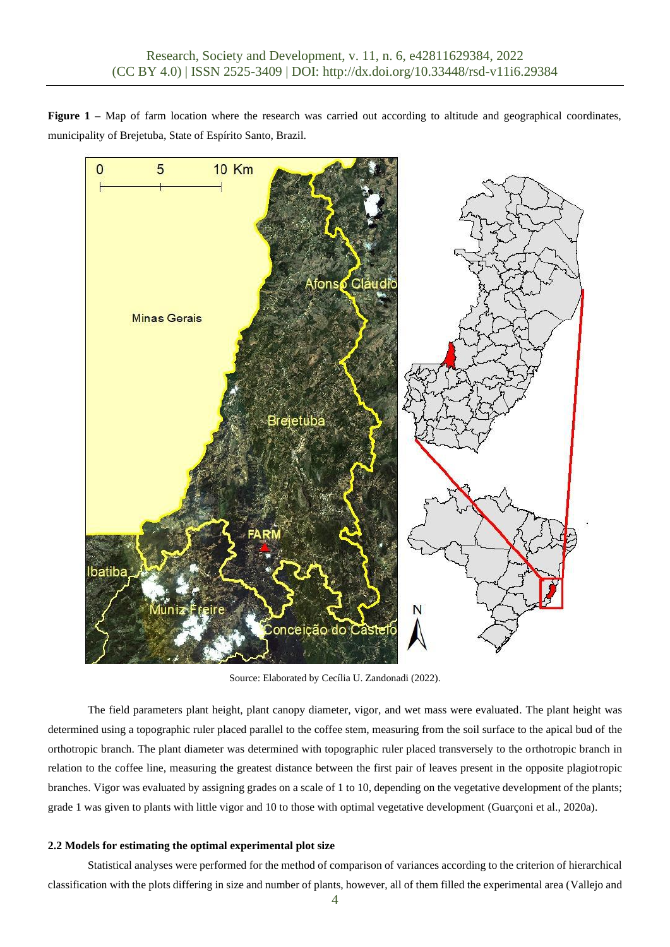**Figure 1** – Map of farm location where the research was carried out according to altitude and geographical coordinates, municipality of Brejetuba, State of Espírito Santo, Brazil.



Source: Elaborated by Cecília U. Zandonadi (2022).

The field parameters plant height, plant canopy diameter, vigor, and wet mass were evaluated. The plant height was determined using a topographic ruler placed parallel to the coffee stem, measuring from the soil surface to the apical bud of the orthotropic branch. The plant diameter was determined with topographic ruler placed transversely to the orthotropic branch in relation to the coffee line, measuring the greatest distance between the first pair of leaves present in the opposite plagiotropic branches. Vigor was evaluated by assigning grades on a scale of 1 to 10, depending on the vegetative development of the plants; grade 1 was given to plants with little vigor and 10 to those with optimal vegetative development (Guarçoni et al., 2020a).

#### **2.2 Models for estimating the optimal experimental plot size**

Statistical analyses were performed for the method of comparison of variances according to the criterion of hierarchical classification with the plots differing in size and number of plants, however, all of them filled the experimental area (Vallejo and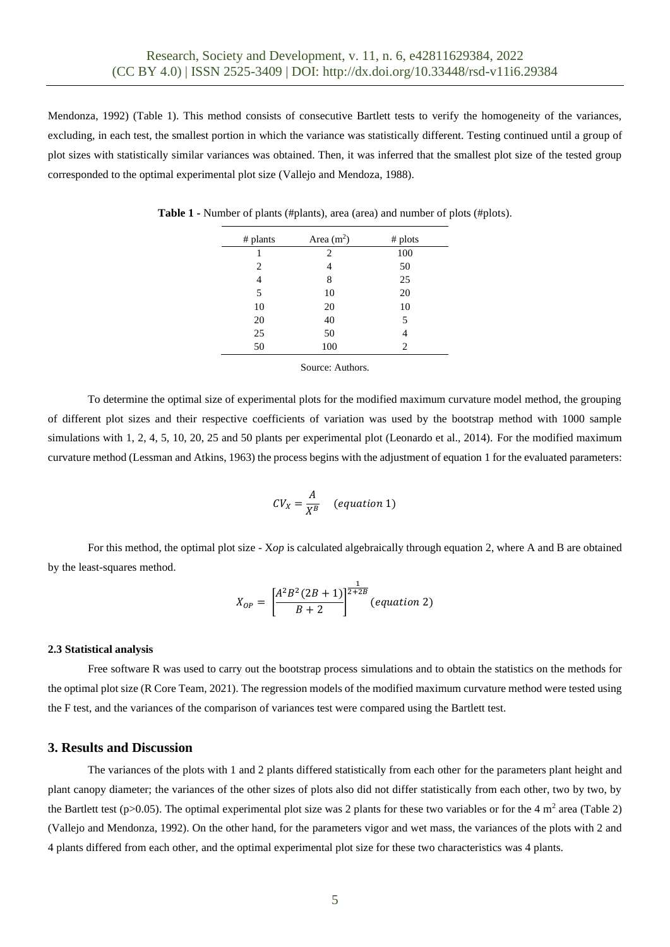Mendonza, 1992) (Table 1). This method consists of consecutive Bartlett tests to verify the homogeneity of the variances, excluding, in each test, the smallest portion in which the variance was statistically different. Testing continued until a group of plot sizes with statistically similar variances was obtained. Then, it was inferred that the smallest plot size of the tested group corresponded to the optimal experimental plot size (Vallejo and Mendoza, 1988).

| # plants | Area $(m2)$ | # plots |  |
|----------|-------------|---------|--|
|          | 2           | 100     |  |
| 2        | 4           | 50      |  |
| 4        | 8           | 25      |  |
| 5        | 10          | 20      |  |
| 10       | 20          | 10      |  |
| 20       | 40          | 5       |  |
| 25       | 50          | 4       |  |
| 50       | 100         | 2       |  |

**Table 1 -** Number of plants (#plants), area (area) and number of plots (#plots).

Source: Authors.

To determine the optimal size of experimental plots for the modified maximum curvature model method, the grouping of different plot sizes and their respective coefficients of variation was used by the bootstrap method with 1000 sample simulations with 1, 2, 4, 5, 10, 20, 25 and 50 plants per experimental plot (Leonardo et al., 2014). For the modified maximum curvature method (Lessman and Atkins, 1963) the process begins with the adjustment of equation 1 for the evaluated parameters:

$$
CV_X = \frac{A}{X^B} \quad (equation 1)
$$

For this method, the optimal plot size - X*op* is calculated algebraically through equation 2, where A and B are obtained by the least-squares method.

$$
X_{OP} = \left[\frac{A^2 B^2 (2B + 1)}{B + 2}\right]^{\frac{1}{2 + 2B}} (equation 2)
$$

#### **2.3 Statistical analysis**

Free software R was used to carry out the bootstrap process simulations and to obtain the statistics on the methods for the optimal plot size (R Core Team, 2021). The regression models of the modified maximum curvature method were tested using the F test, and the variances of the comparison of variances test were compared using the Bartlett test.

#### **3. Results and Discussion**

The variances of the plots with 1 and 2 plants differed statistically from each other for the parameters plant height and plant canopy diameter; the variances of the other sizes of plots also did not differ statistically from each other, two by two, by the Bartlett test (p>0.05). The optimal experimental plot size was 2 plants for these two variables or for the 4  $m<sup>2</sup>$  area (Table 2) (Vallejo and Mendonza, 1992). On the other hand, for the parameters vigor and wet mass, the variances of the plots with 2 and 4 plants differed from each other, and the optimal experimental plot size for these two characteristics was 4 plants.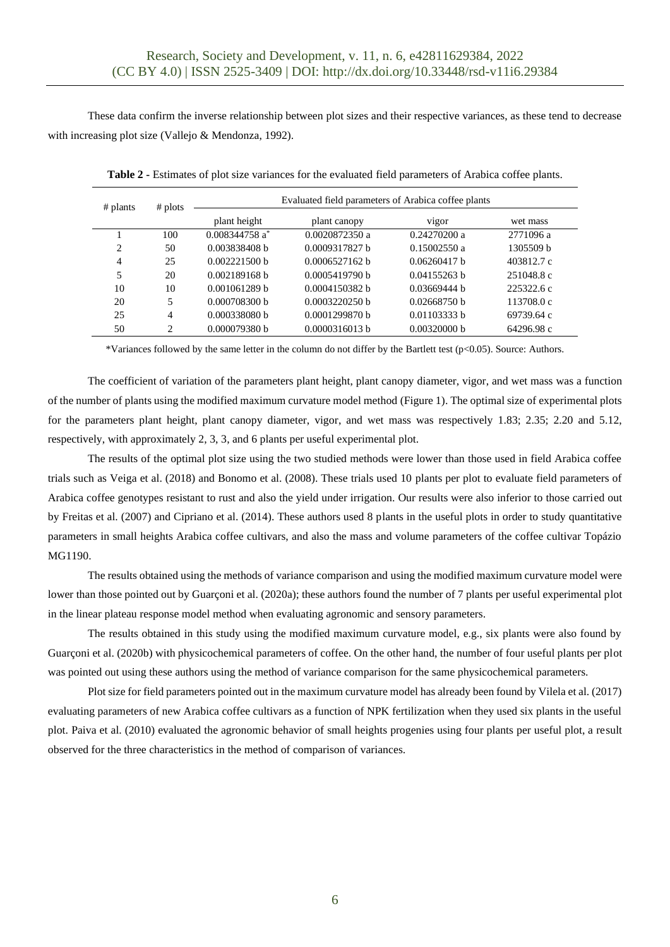These data confirm the inverse relationship between plot sizes and their respective variances, as these tend to decrease with increasing plot size (Vallejo & Mendonza, 1992).

| # plants       | # plots                     | Evaluated field parameters of Arabica coffee plants |                |              |            |
|----------------|-----------------------------|-----------------------------------------------------|----------------|--------------|------------|
|                |                             | plant height                                        | plant canopy   | vigor        | wet mass   |
|                | 100                         | $0.008344758a^*$                                    | 0.0020872350a  | 0.24270200 a | 2771096 a  |
| $\mathfrak{D}$ | 50                          | 0.003838408 h                                       | 0.0009317827 b | 0.15002550a  | 1305509 b  |
| 4              | 25                          | 0.002221500 h                                       | 0.0006527162 h | 0.06260417 h | 403812.7 c |
| 5              | 20                          | 0.002189168 h                                       | 0.0005419790 h | 0.04155263 h | 251048.8 c |
| 10             | 10                          | 0.001061289 b                                       | 0.0004150382 h | 0.03669444 h | 225322.6c  |
| 20             | 5                           | 0.000708300 b                                       | 0.0003220250 h | 0.02668750 h | 113708.0 c |
| 25             | $\overline{4}$              | 0.000338080 h                                       | 0.0001299870 h | 0.01103333 b | 69739.64 c |
| 50             | $\mathcal{D}_{\mathcal{L}}$ | 0.000079380 b                                       | 0.0000316013 b | 0.00320000 b | 64296.98 c |

**Table 2 -** Estimates of plot size variances for the evaluated field parameters of Arabica coffee plants.

\*Variances followed by the same letter in the column do not differ by the Bartlett test (p<0.05). Source: Authors.

The coefficient of variation of the parameters plant height, plant canopy diameter, vigor, and wet mass was a function of the number of plants using the modified maximum curvature model method (Figure 1). The optimal size of experimental plots for the parameters plant height, plant canopy diameter, vigor, and wet mass was respectively 1.83; 2.35; 2.20 and 5.12, respectively, with approximately 2, 3, 3, and 6 plants per useful experimental plot.

The results of the optimal plot size using the two studied methods were lower than those used in field Arabica coffee trials such as Veiga et al. (2018) and Bonomo et al. (2008). These trials used 10 plants per plot to evaluate field parameters of Arabica coffee genotypes resistant to rust and also the yield under irrigation. Our results were also inferior to those carried out by Freitas et al. (2007) and Cipriano et al. (2014). These authors used 8 plants in the useful plots in order to study quantitative parameters in small heights Arabica coffee cultivars, and also the mass and volume parameters of the coffee cultivar Topázio MG1190.

The results obtained using the methods of variance comparison and using the modified maximum curvature model were lower than those pointed out by Guarconi et al. (2020a); these authors found the number of 7 plants per useful experimental plot in the linear plateau response model method when evaluating agronomic and sensory parameters.

The results obtained in this study using the modified maximum curvature model, e.g., six plants were also found by Guarçoni et al. (2020b) with physicochemical parameters of coffee. On the other hand, the number of four useful plants per plot was pointed out using these authors using the method of variance comparison for the same physicochemical parameters.

Plot size for field parameters pointed out in the maximum curvature model has already been found by Vilela et al. (2017) evaluating parameters of new Arabica coffee cultivars as a function of NPK fertilization when they used six plants in the useful plot. Paiva et al. (2010) evaluated the agronomic behavior of small heights progenies using four plants per useful plot, a result observed for the three characteristics in the method of comparison of variances.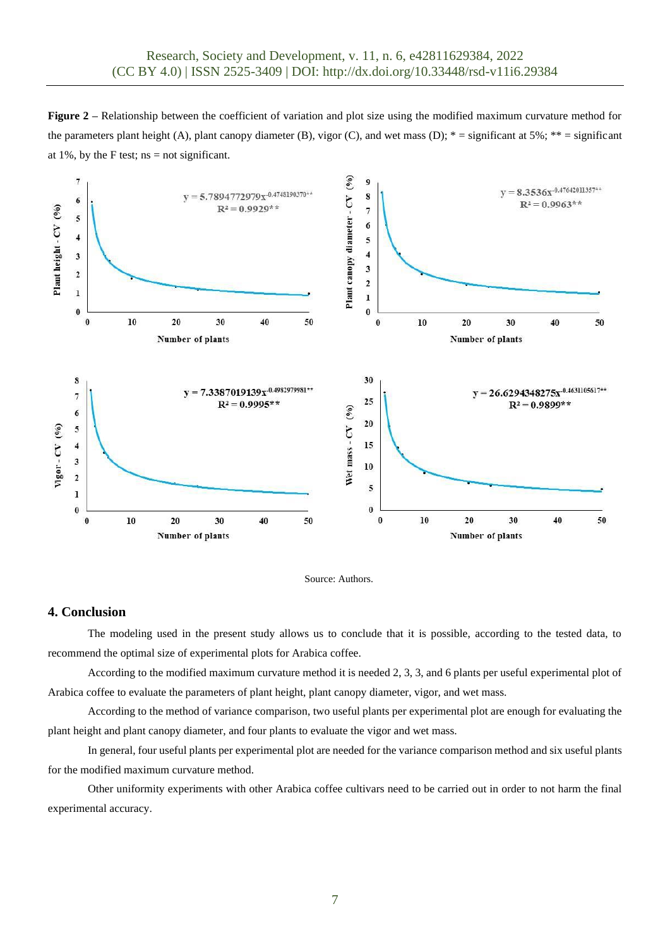**Figure 2 –** Relationship between the coefficient of variation and plot size using the modified maximum curvature method for the parameters plant height (A), plant canopy diameter (B), vigor (C), and wet mass (D);  $* =$  significant at 5%;  $** =$  significant at 1%, by the F test;  $ns = not significant$ .





# **4. Conclusion**

The modeling used in the present study allows us to conclude that it is possible, according to the tested data, to recommend the optimal size of experimental plots for Arabica coffee.

According to the modified maximum curvature method it is needed 2, 3, 3, and 6 plants per useful experimental plot of Arabica coffee to evaluate the parameters of plant height, plant canopy diameter, vigor, and wet mass.

According to the method of variance comparison, two useful plants per experimental plot are enough for evaluating the plant height and plant canopy diameter, and four plants to evaluate the vigor and wet mass.

In general, four useful plants per experimental plot are needed for the variance comparison method and six useful plants for the modified maximum curvature method.

Other uniformity experiments with other Arabica coffee cultivars need to be carried out in order to not harm the final experimental accuracy.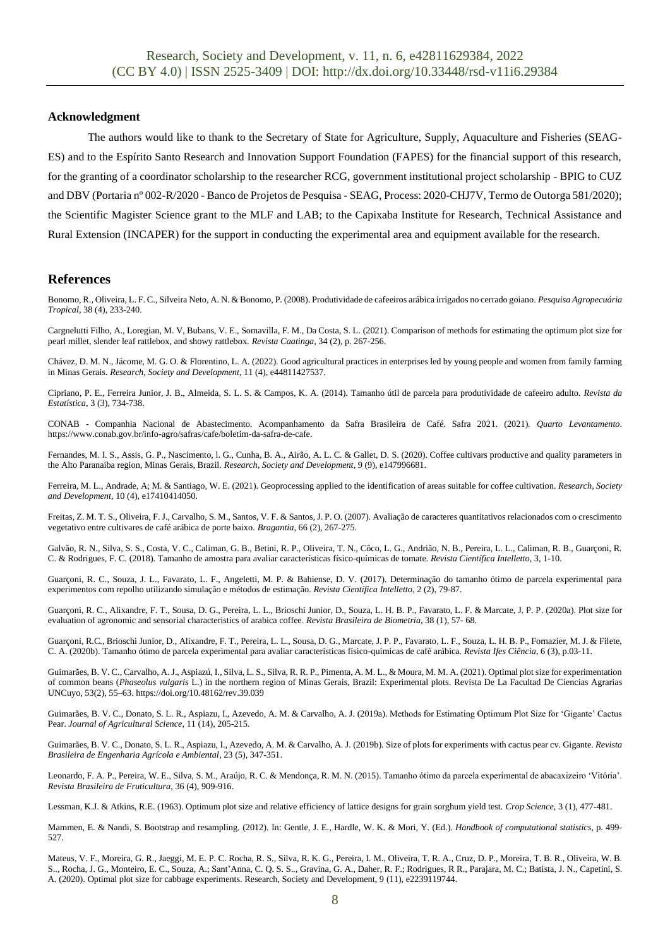#### **Acknowledgment**

The authors would like to thank to the Secretary of State for Agriculture, Supply, Aquaculture and Fisheries (SEAG-ES) and to the Espírito Santo Research and Innovation Support Foundation (FAPES) for the financial support of this research, for the granting of a coordinator scholarship to the researcher RCG, government institutional project scholarship - BPIG to CUZ and DBV (Portaria nº 002-R/2020 - Banco de Projetos de Pesquisa - SEAG, Process: 2020-CHJ7V, Termo de Outorga 581/2020); the Scientific Magister Science grant to the MLF and LAB; to the Capixaba Institute for Research, Technical Assistance and Rural Extension (INCAPER) for the support in conducting the experimental area and equipment available for the research.

#### **References**

Bonomo, R., Oliveira, L. F. C., Silveira Neto, A. N. & Bonomo, P. (2008). Produtividade de cafeeiros arábica irrigados no cerrado goiano. *Pesquisa Agropecuária Tropical*, 38 (4), 233-240.

Cargnelutti Filho, A., Loregian, M. V, Bubans, V. E., Somavilla, F. M., Da Costa, S. L. (2021). Comparison of methods for estimating the optimum plot size for pearl millet, slender leaf rattlebox, and showy rattlebox. *Revista Caatinga*, 34 (2), p. 267-256.

Chávez, D. M. N., Jácome, M. G. O. & Florentino, L. A. (2022). Good agricultural practices in enterprises led by young people and women from family farming in Minas Gerais. *Research, Society and Development*, 11 (4), e44811427537.

Cipriano, P. E., Ferreira Junior, J. B., Almeida, S. L. S. & Campos, K. A. (2014). Tamanho útil de parcela para produtividade de cafeeiro adulto. *Revista da Estatística*, 3 (3), 734-738.

CONAB - Companhia Nacional de Abastecimento. Acompanhamento da Safra Brasileira de Café. Safra 2021. (2021). *Quarto Levantamento*. [https://www.conab.gov.br/info-agro/safras/cafe/boletim-da-safra-de-cafe.](https://www.conab.gov.br/info-agro/safras/cafe/boletim-da-safra-de-cafe)

Fernandes, M. I. S., Assis, G. P., Nascimento, l. G., Cunha, B. A., Airão, A. L. C. & Gallet, D. S. (2020). Coffee cultivars productive and quality parameters in the Alto Paranaiba region, Minas Gerais, Brazil. *Research, Society and Development*, 9 (9), e147996681.

Ferreira, M. L., Andrade, A; M. & Santiago, W. E. (2021). Geoprocessing applied to the identification of areas suitable for coffee cultivation. *Research, Society and Development*, 10 (4), e17410414050.

Freitas, Z. M. T. S., Oliveira, F. J., Carvalho, S. M., Santos, V. F. & Santos, J. P. O. (2007). Avaliação de caracteres quantitativos relacionados com o crescimento vegetativo entre cultivares de café arábica de porte baixo. *Bragantia*, 66 (2), 267-275.

Galvão, R. N., Silva, S. S., Costa, V. C., Caliman, G. B., Betini, R. P., Oliveira, T. N., Côco, L. G., Andrião, N. B., Pereira, L. L., Caliman, R. B., Guarçoni, R. C. & Rodrigues, F. C. (2018). Tamanho de amostra para avaliar características físico-químicas de tomate. *Revista Científica Intelletto*, 3, 1-10.

Guarçoni, R. C., Souza, J. L., Favarato, L. F., Angeletti, M. P. & Bahiense, D. V. (2017). Determinação do tamanho ótimo de parcela experimental para experimentos com repolho utilizando simulação e métodos de estimação. *Revista Científica Intelletto*, 2 (2), 79-87.

Guarçoni, R. C., Alixandre, F. T., Sousa, D. G., Pereira, L. L., Brioschi Junior, D., Souza, L. H. B. P., Favarato, L. F. & Marcate, J. P. P. (2020a). Plot size for evaluation of agronomic and sensorial characteristics of arabica coffee. *Revista Brasileira de Biometria*, 38 (1), 57- 68.

Guarçoni, R.C., Brioschi Junior, D., Alixandre, F. T., Pereira, L. L., Sousa, D. G., Marcate, J. P. P., Favarato, L. F., Souza, L. H. B. P., Fornazier, M. J. & Filete, C. A. (2020b). Tamanho ótimo de parcela experimental para avaliar características físico-químicas de café arábica. *Revista Ifes Ciência*, 6 (3), p.03-11.

Guimarães, B. V. C., Carvalho, A. J., Aspiazú, I., Silva, L. S., Silva, R. R. P., Pimenta, A. M. L., & Moura, M. M. A. (2021). Optimal plot size for experimentation of common beans (*Phaseolus vulgaris* L.) in the northern region of Minas Gerais, Brazil: Experimental plots. Revista De La Facultad De Ciencias Agrarias UNCuyo, 53(2), 55–63. https://doi.org/10.48162/rev.39.039

Guimarães, B. V. C., Donato, S. L. R., Aspiazu, I., Azevedo, A. M. & Carvalho, A. J. (2019a). Methods for Estimating Optimum Plot Size for 'Gigante' Cactus Pear. *Journal of Agricultural Science*, 11 (14), 205-215.

Guimarães, B. V. C., Donato, S. L. R., Aspiazu, I., Azevedo, A. M. & Carvalho, A. J. (2019b). Size of plots for experiments with cactus pear cv. Gigante. *Revista Brasileira de Engenharia Agrícola e Ambiental*, 23 (5), 347-351.

Leonardo, F. A. P., Pereira, W. E., Silva, S. M., Araújo, R. C. & Mendonça, R. M. N. (2015). Tamanho ótimo da parcela experimental de abacaxizeiro 'Vitória'. *Revista Brasileira de Fruticultura*, 36 (4), 909-916.

Lessman, K.J. & Atkins, R.E. (1963). Optimum plot size and relative efficiency of lattice designs for grain sorghum yield test. *Crop Science*, 3 (1), 477-481.

Mammen, E. & Nandi, S. Bootstrap and resampling. (2012). In: Gentle, J. E., Hardle, W. K. & Mori, Y. (Ed.). *Handbook of computational statistics*, p. 499- 527.

Mateus, V. F., Moreira, G. R., Jaeggi, M. E. P. C. Rocha, R. S., Silva, R. K. G., Pereira, I. M., Oliveira, T. R. A., Cruz, D. P., Moreira, T. B. R., Oliveira, W. B. S.., Rocha, J. G., Monteiro, E. C., Souza, A.; Sant'Anna, C. Q. S. S.., Gravina, G. A., Daher, R. F.; Rodrigues, R R., Parajara, M. C.; Batista, J. N., Capetini, S. A. (2020). Optimal plot size for cabbage experiments. Research, Society and Development, 9 (11), e2239119744.